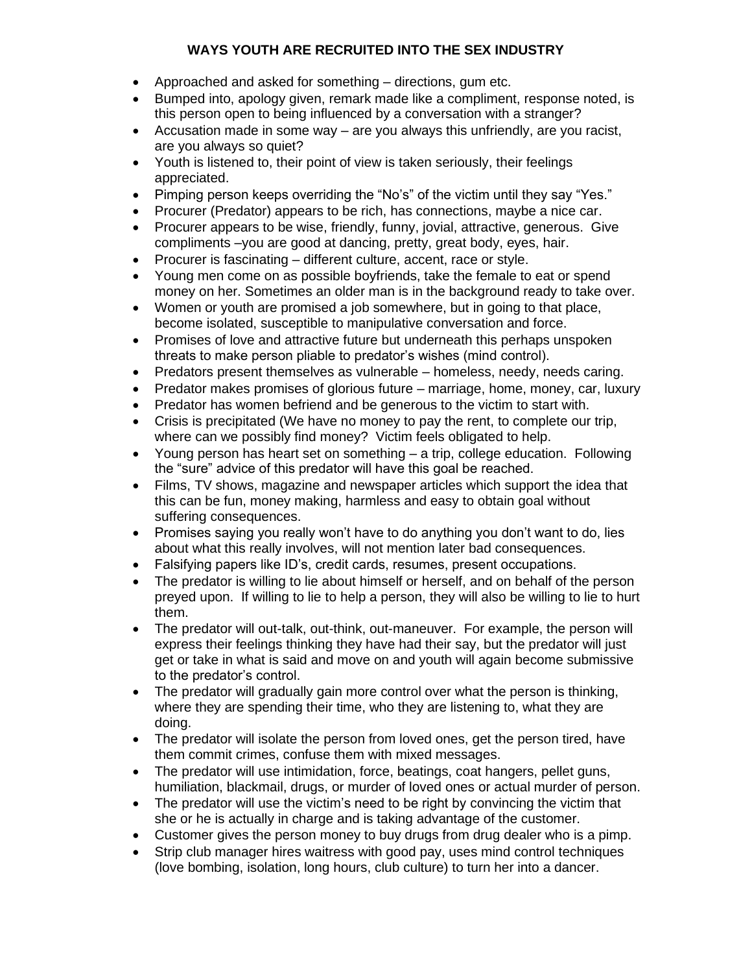## **WAYS YOUTH ARE RECRUITED INTO THE SEX INDUSTRY**

- Approached and asked for something directions, gum etc.
- Bumped into, apology given, remark made like a compliment, response noted, is this person open to being influenced by a conversation with a stranger?
- Accusation made in some way  $-$  are you always this unfriendly, are you racist, are you always so quiet?
- Youth is listened to, their point of view is taken seriously, their feelings appreciated.
- Pimping person keeps overriding the "No's" of the victim until they say "Yes."
- Procurer (Predator) appears to be rich, has connections, maybe a nice car.
- Procurer appears to be wise, friendly, funny, jovial, attractive, generous. Give compliments –you are good at dancing, pretty, great body, eyes, hair.
- Procurer is fascinating different culture, accent, race or style.
- Young men come on as possible boyfriends, take the female to eat or spend money on her. Sometimes an older man is in the background ready to take over.
- Women or youth are promised a job somewhere, but in going to that place, become isolated, susceptible to manipulative conversation and force.
- Promises of love and attractive future but underneath this perhaps unspoken threats to make person pliable to predator's wishes (mind control).
- Predators present themselves as vulnerable homeless, needy, needs caring.
- Predator makes promises of glorious future marriage, home, money, car, luxury
- Predator has women befriend and be generous to the victim to start with.
- Crisis is precipitated (We have no money to pay the rent, to complete our trip, where can we possibly find money? Victim feels obligated to help.
- Young person has heart set on something a trip, college education. Following the "sure" advice of this predator will have this goal be reached.
- Films, TV shows, magazine and newspaper articles which support the idea that this can be fun, money making, harmless and easy to obtain goal without suffering consequences.
- Promises saying you really won't have to do anything you don't want to do, lies about what this really involves, will not mention later bad consequences.
- Falsifying papers like ID's, credit cards, resumes, present occupations.
- The predator is willing to lie about himself or herself, and on behalf of the person preyed upon. If willing to lie to help a person, they will also be willing to lie to hurt them.
- The predator will out-talk, out-think, out-maneuver. For example, the person will express their feelings thinking they have had their say, but the predator will just get or take in what is said and move on and youth will again become submissive to the predator's control.
- The predator will gradually gain more control over what the person is thinking, where they are spending their time, who they are listening to, what they are doing.
- The predator will isolate the person from loved ones, get the person tired, have them commit crimes, confuse them with mixed messages.
- The predator will use intimidation, force, beatings, coat hangers, pellet guns, humiliation, blackmail, drugs, or murder of loved ones or actual murder of person.
- The predator will use the victim's need to be right by convincing the victim that she or he is actually in charge and is taking advantage of the customer.
- Customer gives the person money to buy drugs from drug dealer who is a pimp.
- Strip club manager hires waitress with good pay, uses mind control techniques (love bombing, isolation, long hours, club culture) to turn her into a dancer.